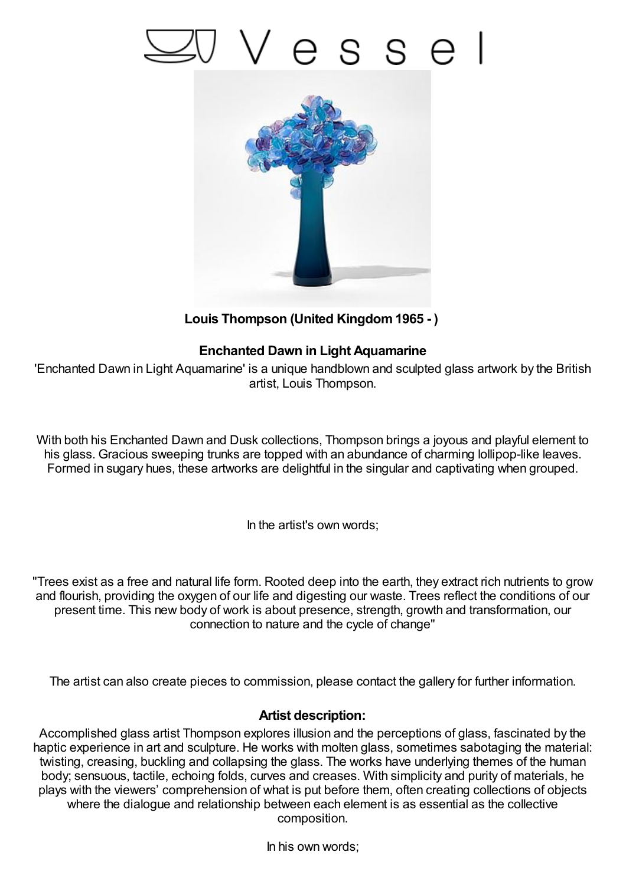## 'esse



**Louis Thompson (United Kingdom1965 - )**

## **Enchanted Dawn in Light Aquamarine**

'Enchanted Dawn in Light Aquamarine' is a unique handblown and sculpted glass artwork by the British artist, Louis Thompson.

With both his Enchanted Dawn and Dusk collections, Thompson brings a joyous and playful element to his glass. Gracious sweeping trunks are topped with an abundance of charming lollipop-like leaves. Formed in sugary hues, these artworks are delightful in the singular and captivating when grouped.

In the artist's own words;

"Trees exist as a free and natural life form. Rooted deep into the earth, they extract rich nutrients to grow and flourish, providing the oxygen of our life and digesting our waste. Trees reflect the conditions of our present time. This new body of work is about presence, strength, growth and transformation, our connection to nature and the cycle of change"

The artist can also create pieces to commission, please contact the gallery for further information.

## **Artist description:**

Accomplished glass artist Thompson explores illusion and the perceptions of glass, fascinated by the haptic experience in art and sculpture. He works with molten glass, sometimes sabotaging the material: twisting, creasing, buckling and collapsing the glass. The works have underlying themes of the human body; sensuous, tactile, echoing folds, curves and creases. With simplicity and purity of materials, he plays with the viewers' comprehension of what is put before them, often creating collections of objects where the dialogue and relationship between each element is as essential as the collective composition.

In his own words;